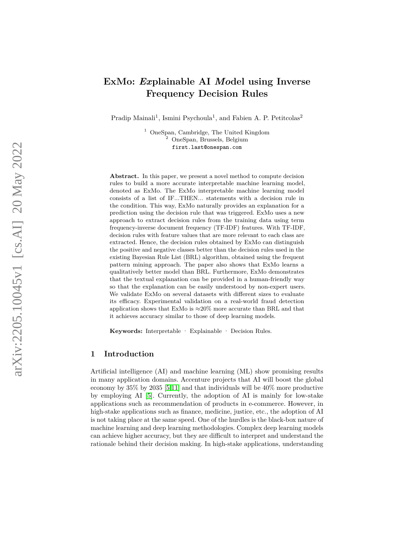# **ExMo:** *Ex***plainable AI** *Mo***del using Inverse Frequency Decision Rules**

Pradip Mainali<sup>1</sup>, Ismini Psychoula<sup>1</sup>, and Fabien A. P. Petitcolas<sup>2</sup>

<sup>1</sup> OneSpan, Cambridge, The United Kingdom <sup>2</sup> OneSpan, Brussels, Belgium first.last@onespan.com

**Abstract.** In this paper, we present a novel method to compute decision rules to build a more accurate interpretable machine learning model, denoted as ExMo. The ExMo interpretable machine learning model consists of a list of IF...THEN... statements with a decision rule in the condition. This way, ExMo naturally provides an explanation for a prediction using the decision rule that was triggered. ExMo uses a new approach to extract decision rules from the training data using term frequency-inverse document frequency (TF-IDF) features. With TF-IDF, decision rules with feature values that are more relevant to each class are extracted. Hence, the decision rules obtained by ExMo can distinguish the positive and negative classes better than the decision rules used in the existing Bayesian Rule List (BRL) algorithm, obtained using the frequent pattern mining approach. The paper also shows that ExMo learns a qualitatively better model than BRL. Furthermore, ExMo demonstrates that the textual explanation can be provided in a human-friendly way so that the explanation can be easily understood by non-expert users. We validate ExMo on several datasets with different sizes to evaluate its efficacy. Experimental validation on a real-world fraud detection application shows that ExMo is  $\approx 20\%$  more accurate than BRL and that it achieves accuracy similar to those of deep learning models.

Keywords: Interpretable · Explainable · Decision Rules.

# **1 Introduction**

Artificial intelligence (AI) and machine learning (ML) show promising results in many application domains. Accenture projects that AI will boost the global economy by 35% by 2035 [ [5](#page-18-0) [,11\]](#page-18-1) and that individuals will be 40% more productive by employing AI [ [5\]](#page-18-0). Currently, the adoption of AI is mainly for low-stake applications such as recommendation of products in e-commerce. However, in high-stake applications such as finance, medicine, justice, etc., the adoption of AI is not taking place at the same speed. One of the hurdles is the black-box nature of machine learning and deep learning methodologies. Complex deep learning models can achieve higher accuracy, but they are difficult to interpret and understand the rationale behind their decision making. In high-stake applications, understanding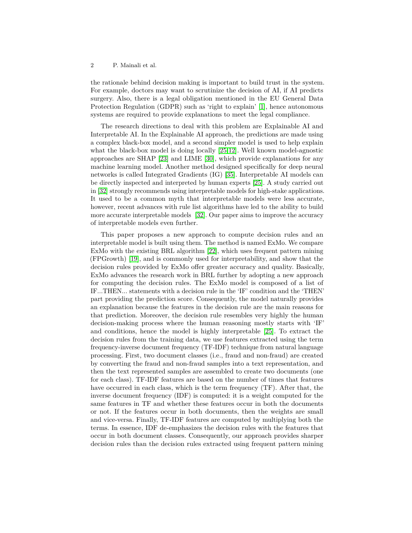the rationale behind decision making is important to build trust in the system. For example, doctors may want to scrutinize the decision of AI, if AI predicts surgery. Also, there is a legal obligation mentioned in the EU General Data Protection Regulation (GDPR) such as 'right to explain' [\[1\]](#page-18-2), hence autonomous systems are required to provide explanations to meet the legal compliance.

The research directions to deal with this problem are Explainable AI and Interpretable AI. In the Explainable AI approach, the predictions are made using a complex black-box model, and a second simpler model is used to help explain what the black-box model is doing locally [\[25,](#page-19-0)[12\]](#page-18-3). Well known model-agnostic approaches are SHAP [\[23\]](#page-19-1) and LIME [\[30\]](#page-19-2), which provide explanations for any machine learning model. Another method designed specifically for deep neural networks is called Integrated Gradients (IG) [\[35\]](#page-19-3). Interpretable AI models can be directly inspected and interpreted by human experts [\[25\]](#page-19-0). A study carried out in [\[32\]](#page-19-4) strongly recommends using interpretable models for high-stake applications. It used to be a common myth that interpretable models were less accurate, however, recent advances with rule list algorithms have led to the ability to build more accurate interpretable models [\[32\]](#page-19-4). Our paper aims to improve the accuracy of interpretable models even further.

This paper proposes a new approach to compute decision rules and an interpretable model is built using them. The method is named ExMo. We compare ExMo with the existing BRL algorithm [\[22\]](#page-18-4), which uses frequent pattern mining (FPGrowth) [\[19\]](#page-18-5), and is commonly used for interpretability, and show that the decision rules provided by ExMo offer greater accuracy and quality. Basically, ExMo advances the research work in BRL further by adopting a new approach for computing the decision rules. The ExMo model is composed of a list of IF...THEN... statements with a decision rule in the 'IF' condition and the 'THEN' part providing the prediction score. Consequently, the model naturally provides an explanation because the features in the decision rule are the main reasons for that prediction. Moreover, the decision rule resembles very highly the human decision-making process where the human reasoning mostly starts with 'IF' and conditions, hence the model is highly interpretable [\[25\]](#page-19-0). To extract the decision rules from the training data, we use features extracted using the term frequency-inverse document frequency (TF-IDF) technique from natural language processing. First, two document classes (i.e., fraud and non-fraud) are created by converting the fraud and non-fraud samples into a text representation, and then the text represented samples are assembled to create two documents (one for each class). TF-IDF features are based on the number of times that features have occurred in each class, which is the term frequency (TF). After that, the inverse document frequency (IDF) is computed: it is a weight computed for the same features in TF and whether these features occur in both the documents or not. If the features occur in both documents, then the weights are small and vice-versa. Finally, TF-IDF features are computed by multiplying both the terms. In essence, IDF de-emphasizes the decision rules with the features that occur in both document classes. Consequently, our approach provides sharper decision rules than the decision rules extracted using frequent pattern mining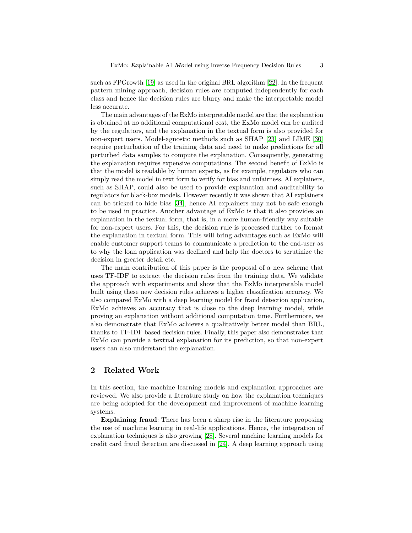such as FPGrowth [\[19\]](#page-18-5) as used in the original BRL algorithm [\[22\]](#page-18-4). In the frequent pattern mining approach, decision rules are computed independently for each class and hence the decision rules are blurry and make the interpretable model less accurate.

The main advantages of the ExMo interpretable model are that the explanation is obtained at no additional computational cost, the ExMo model can be audited by the regulators, and the explanation in the textual form is also provided for non-expert users. Model-agnostic methods such as SHAP [\[23\]](#page-19-1) and LIME [\[30\]](#page-19-2) require perturbation of the training data and need to make predictions for all perturbed data samples to compute the explanation. Consequently, generating the explanation requires expensive computations. The second benefit of ExMo is that the model is readable by human experts, as for example, regulators who can simply read the model in text form to verify for bias and unfairness. AI explainers, such as SHAP, could also be used to provide explanation and auditability to regulators for black-box models. However recently it was shown that AI explainers can be tricked to hide bias [\[34\]](#page-19-5), hence AI explainers may not be safe enough to be used in practice. Another advantage of ExMo is that it also provides an explanation in the textual form, that is, in a more human-friendly way suitable for non-expert users. For this, the decision rule is processed further to format the explanation in textual form. This will bring advantages such as ExMo will enable customer support teams to communicate a prediction to the end-user as to why the loan application was declined and help the doctors to scrutinize the decision in greater detail etc.

The main contribution of this paper is the proposal of a new scheme that uses TF-IDF to extract the decision rules from the training data. We validate the approach with experiments and show that the ExMo interpretable model built using these new decision rules achieves a higher classification accuracy. We also compared ExMo with a deep learning model for fraud detection application, ExMo achieves an accuracy that is close to the deep learning model, while proving an explanation without additional computation time. Furthermore, we also demonstrate that ExMo achieves a qualitatively better model than BRL, thanks to TF-IDF based decision rules. Finally, this paper also demonstrates that ExMo can provide a textual explanation for its prediction, so that non-expert users can also understand the explanation.

# **2 Related Work**

In this section, the machine learning models and explanation approaches are reviewed. We also provide a literature study on how the explanation techniques are being adopted for the development and improvement of machine learning systems.

**Explaining fraud**: There has been a sharp rise in the literature proposing the use of machine learning in real-life applications. Hence, the integration of explanation techniques is also growing [\[28\]](#page-19-6). Several machine learning models for credit card fraud detection are discussed in [\[24\]](#page-19-7). A deep learning approach using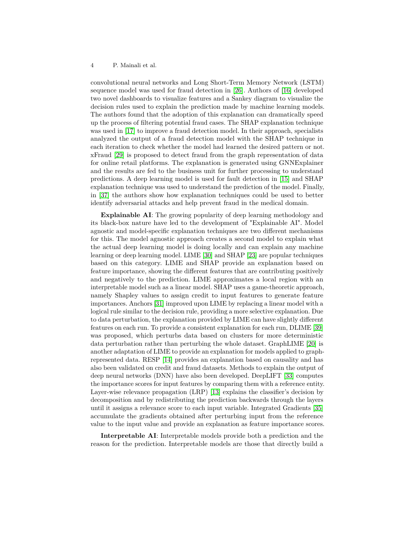convolutional neural networks and Long Short-Term Memory Network (LSTM) sequence model was used for fraud detection in [\[26\]](#page-19-8). Authors of [\[16\]](#page-18-6) developed two novel dashboards to visualize features and a Sankey diagram to visualize the decision rules used to explain the prediction made by machine learning models. The authors found that the adoption of this explanation can dramatically speed up the process of filtering potential fraud cases. The SHAP explanation technique was used in [\[17\]](#page-18-7) to improve a fraud detection model. In their approach, specialists analyzed the output of a fraud detection model with the SHAP technique in each iteration to check whether the model had learned the desired pattern or not. xFraud [\[29\]](#page-19-9) is proposed to detect fraud from the graph representation of data for online retail platforms. The explanation is generated using GNNExplainer and the results are fed to the business unit for further processing to understand predictions. A deep learning model is used for fault detection in [\[15\]](#page-18-8) and SHAP explanation technique was used to understand the prediction of the model. Finally, in [\[37\]](#page-19-10) the authors show how explanation techniques could be used to better identify adversarial attacks and help prevent fraud in the medical domain.

**Explainable AI**: The growing popularity of deep learning methodology and its black-box nature have led to the development of "Explainable AI". Model agnostic and model-specific explanation techniques are two different mechanisms for this. The model agnostic approach creates a second model to explain what the actual deep learning model is doing locally and can explain any machine learning or deep learning model. LIME [\[30\]](#page-19-2) and SHAP [\[23\]](#page-19-1) are popular techniques based on this category. LIME and SHAP provide an explanation based on feature importance, showing the different features that are contributing positively and negatively to the prediction. LIME approximates a local region with an interpretable model such as a linear model. SHAP uses a game-theoretic approach, namely Shapley values to assign credit to input features to generate feature importances. Anchors [\[31\]](#page-19-11) improved upon LIME by replacing a linear model with a logical rule similar to the decision rule, providing a more selective explanation. Due to data perturbation, the explanation provided by LIME can have slightly different features on each run. To provide a consistent explanation for each run, DLIME [\[39\]](#page-19-12) was proposed, which perturbs data based on clusters for more deterministic data perturbation rather than perturbing the whole dataset. GraphLIME [\[20\]](#page-18-9) is another adaptation of LIME to provide an explanation for models applied to graphrepresented data. RESP [\[14\]](#page-18-10) provides an explanation based on causality and has also been validated on credit and fraud datasets. Methods to explain the output of deep neural networks (DNN) have also been developed. DeepLIFT [\[33\]](#page-19-13) computes the importance scores for input features by comparing them with a reference entity. Layer-wise relevance propagation (LRP) [\[13\]](#page-18-11) explains the classifier's decision by decomposition and by redistributing the prediction backwards through the layers until it assigns a relevance score to each input variable. Integrated Gradients [\[35\]](#page-19-3) accumulate the gradients obtained after perturbing input from the reference value to the input value and provide an explanation as feature importance scores.

**Interpretable AI**: Interpretable models provide both a prediction and the reason for the prediction. Interpretable models are those that directly build a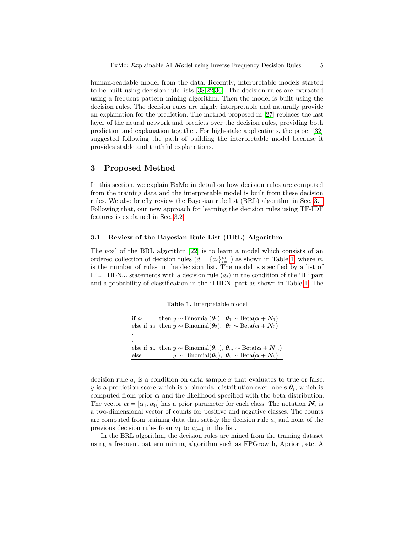human-readable model from the data. Recently, interpretable models started to be built using decision rule lists [\[38,](#page-19-14)[22,](#page-18-4)[36\]](#page-19-15). The decision rules are extracted using a frequent pattern mining algorithm. Then the model is built using the decision rules. The decision rules are highly interpretable and naturally provide an explanation for the prediction. The method proposed in [\[27\]](#page-19-16) replaces the last layer of the neural network and predicts over the decision rules, providing both prediction and explanation together. For high-stake applications, the paper [\[32\]](#page-19-4) suggested following the path of building the interpretable model because it provides stable and truthful explanations.

# **3 Proposed Method**

In this section, we explain ExMo in detail on how decision rules are computed from the training data and the interpretable model is built from these decision rules. We also briefly review the Bayesian rule list (BRL) algorithm in Sec. [3.1.](#page-4-0) Following that, our new approach for learning the decision rules using TF-IDF features is explained in Sec. [3.2.](#page-6-0)

### <span id="page-4-0"></span>**3.1 Review of the Bayesian Rule List (BRL) Algorithm**

The goal of the BRL algorithm [\[22\]](#page-18-4) is to learn a model which consists of an ordered collection of decision rules  $(d = \{a_i\}_{i=1}^m)$  as shown in Table [1,](#page-4-1) where  $m$ is the number of rules in the decision list. The model is specified by a list of IF...THEN... statements with a decision rule  $(a_i)$  in the condition of the 'IF' part and a probability of classification in the 'THEN' part as shown in Table [1.](#page-4-1) The

<span id="page-4-1"></span>**Table 1.** Interpretable model

| if $a_1$ |  | then $y \sim \text{Binomial}(\theta_1)$ , $\theta_1 \sim \text{Beta}(\alpha + N_1)$                                               |
|----------|--|-----------------------------------------------------------------------------------------------------------------------------------|
|          |  | else if $a_2$ then $y \sim \text{Binomial}(\theta_2)$ , $\theta_2 \sim \text{Beta}(\alpha + N_2)$                                 |
|          |  |                                                                                                                                   |
| ٠        |  |                                                                                                                                   |
|          |  | else if $a_m$ then $y \sim \text{Binomial}(\theta_m)$ , $\theta_m \sim \text{Beta}(\alpha + N_m)$                                 |
| else     |  | $y \sim \text{Binomial}(\boldsymbol{\theta}_0), \ \boldsymbol{\theta}_0 \sim \text{Beta}(\boldsymbol{\alpha} + \boldsymbol{N}_0)$ |

decision rule  $a_i$  is a condition on data sample  $x$  that evaluates to true or false. *y* is a prediction score which is a binomial distribution over labels  $\theta_i$ , which is computed from prior  $\alpha$  and the likelihood specified with the beta distribution. The vector  $\boldsymbol{\alpha} = [\alpha_1, \alpha_0]$  has a prior parameter for each class. The notation  $N_i$  is a two-dimensional vector of counts for positive and negative classes. The counts are computed from training data that satisfy the decision rule *a<sup>i</sup>* and none of the previous decision rules from  $a_1$  to  $a_{i-1}$  in the list.

In the BRL algorithm, the decision rules are mined from the training dataset using a frequent pattern mining algorithm such as FPGrowth, Apriori, etc. A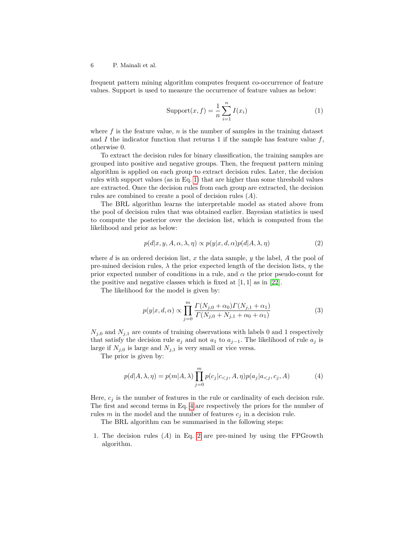frequent pattern mining algorithm computes frequent co-occurrence of feature values. Support is used to measure the occurrence of feature values as below:

<span id="page-5-0"></span>
$$
Support(x, f) = \frac{1}{n} \sum_{i=1}^{n} I(x_i)
$$
\n(1)

where *f* is the feature value, *n* is the number of samples in the training dataset and  $I$  the indicator function that returns 1 if the sample has feature value  $f$ , otherwise 0.

To extract the decision rules for binary classification, the training samples are grouped into positive and negative groups. Then, the frequent pattern mining algorithm is applied on each group to extract decision rules. Later, the decision rules with support values (as in Eq. [1\)](#page-5-0) that are higher than some threshold values are extracted. Once the decision rules from each group are extracted, the decision rules are combined to create a pool of decision rules (*A*).

The BRL algorithm learns the interpretable model as stated above from the pool of decision rules that was obtained earlier. Bayesian statistics is used to compute the posterior over the decision list, which is computed from the likelihood and prior as below:

<span id="page-5-2"></span>
$$
p(d|x, y, A, \alpha, \lambda, \eta) \propto p(y|x, d, \alpha)p(d|A, \lambda, \eta)
$$
\n(2)

where *d* is an ordered decision list, *x* the data sample, *y* the label, *A* the pool of pre-mined decision rules, *λ* the prior expected length of the decision lists, *η* the prior expected number of conditions in a rule, and  $\alpha$  the prior pseudo-count for the positive and negative classes which is fixed at [1*,* 1] as in [\[22\]](#page-18-4).

The likelihood for the model is given by:

$$
p(y|x, d, \alpha) \propto \prod_{j=0}^{m} \frac{\Gamma(N_{j,0} + \alpha_0)\Gamma(N_{j,1} + \alpha_1)}{\Gamma(N_{j,0} + N_{j,1} + \alpha_0 + \alpha_1)}
$$
(3)

 $N_{j,0}$  and  $N_{j,1}$  are counts of training observations with labels 0 and 1 respectively that satisfy the decision rule  $a_j$  and not  $a_1$  to  $a_{j-1}$ . The likelihood of rule  $a_j$  is large if  $N_{j,0}$  is large and  $N_{j,1}$  is very small or vice versa.

The prior is given by:

<span id="page-5-1"></span>
$$
p(d|A,\lambda,\eta) = p(m|A,\lambda) \prod_{j=0}^{m} p(c_j|c_{ (4)
$$

Here, *c<sup>j</sup>* is the number of features in the rule or cardinality of each decision rule. The first and second terms in Eq. [4](#page-5-1) are respectively the priors for the number of rules  $m$  in the model and the number of features  $c_i$  in a decision rule.

The BRL algorithm can be summarised in the following steps:

1. The decision rules (*A*) in Eq. [2](#page-5-2) are pre-mined by using the FPGrowth algorithm.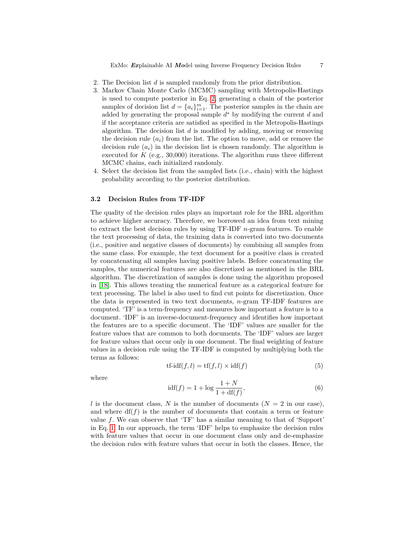ExMo: *Ex*plainable AI *Mo*del using Inverse Frequency Decision Rules 7

- 2. The Decision list *d* is sampled randomly from the prior distribution.
- 3. Markov Chain Monte Carlo (MCMC) sampling with Metropolis-Hastings is used to compute posterior in Eq. [2,](#page-5-2) generating a chain of the posterior samples of decision list  $d = \{a_i\}_{i=1}^m$ . The posterior samples in the chain are added by generating the proposal sample *d* <sup>∗</sup> by modifying the current *d* and if the acceptance criteria are satisfied as specified in the Metropolis-Hastings algorithm. The decision list *d* is modified by adding, moving or removing the decision rule  $(a_i)$  from the list. The option to move, add or remove the decision rule  $(a_i)$  in the decision list is chosen randomly. The algorithm is executed for  $K$  (e.g., 30,000) iterations. The algorithm runs three different MCMC chains, each initialized randomly.
- 4. Select the decision list from the sampled lists (i.e., chain) with the highest probability according to the posterior distribution.

# <span id="page-6-0"></span>**3.2 Decision Rules from TF-IDF**

The quality of the decision rules plays an important role for the BRL algorithm to achieve higher accuracy. Therefore, we borrowed an idea from text mining to extract the best decision rules by using TF-IDF *n*-gram features. To enable the text processing of data, the training data is converted into two documents (i.e., positive and negative classes of documents) by combining all samples from the same class. For example, the text document for a positive class is created by concatenating all samples having positive labels. Before concatenating the samples, the numerical features are also discretized as mentioned in the BRL algorithm. The discretization of samples is done using the algorithm proposed in [\[18\]](#page-18-12). This allows treating the numerical feature as a categorical feature for text processing. The label is also used to find cut points for discretization. Once the data is represented in two text documents, *n*-gram TF-IDF features are computed. 'TF' is a term-frequency and measures how important a feature is to a document. 'IDF' is an inverse-document-frequency and identifies how important the features are to a specific document. The 'IDF' values are smaller for the feature values that are common to both documents. The 'IDF' values are larger for feature values that occur only in one document. The final weighting of feature values in a decision rule using the TF-IDF is computed by multiplying both the terms as follows:

$$
tf-idf(f, l) = tf(f, l) \times idf(f)
$$
\n<sup>(5)</sup>

where

$$
idf(f) = 1 + \log \frac{1+N}{1 + df(f)},
$$
\n(6)

*l* is the document class, *N* is the number of documents  $(N = 2$  in our case), and where  $df(f)$  is the number of documents that contain a term or feature value *f*. We can observe that 'TF' has a similar meaning to that of 'Support' in Eq. [1.](#page-5-0) In our approach, the term 'IDF' helps to emphasize the decision rules with feature values that occur in one document class only and de-emphasize the decision rules with feature values that occur in both the classes. Hence, the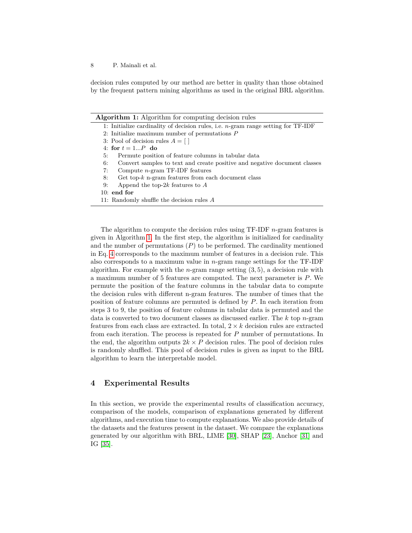decision rules computed by our method are better in quality than those obtained by the frequent pattern mining algorithms as used in the original BRL algorithm.

| <b>Algorithm 1:</b> Algorithm for computing decision rules |  |  |  |
|------------------------------------------------------------|--|--|--|
|                                                            |  |  |  |

- <span id="page-7-0"></span>1: Initialize cardinality of decision rules, i.e. *n*-gram range setting for TF-IDF
- 2: Initialize maximum number of permutations *P*
- 3: Pool of decision rules  $A = \lceil \cdot \rceil$
- 4: **for** *t* = 1*...P* **do**
- 5: Permute position of feature columns in tabular data
- 6: Convert samples to text and create positive and negative document classes
- 7: Compute *n*-gram TF-IDF features
- 8: Get top-*k* n-gram features from each document class
- 9: Append the top-2*k* features to *A*
- 10: **end for**
- 11: Randomly shuffle the decision rules *A*

The algorithm to compute the decision rules using TF-IDF *n*-gram features is given in Algorithm [1.](#page-7-0) In the first step, the algorithm is initialized for cardinality and the number of permutations  $(P)$  to be performed. The cardinality mentioned in Eq. [4](#page-5-1) corresponds to the maximum number of features in a decision rule. This also corresponds to a maximum value in *n*-gram range settings for the TF-IDF algorithm. For example with the *n*-gram range setting (3*,* 5), a decision rule with a maximum number of 5 features are computed. The next parameter is *P*. We permute the position of the feature columns in the tabular data to compute the decision rules with different n-gram features. The number of times that the position of feature columns are permuted is defined by *P*. In each iteration from steps 3 to 9, the position of feature columns in tabular data is permuted and the data is converted to two document classes as discussed earlier. The *k* top *n*-gram features from each class are extracted. In total,  $2 \times k$  decision rules are extracted from each iteration. The process is repeated for *P* number of permutations. In the end, the algorithm outputs  $2k \times P$  decision rules. The pool of decision rules is randomly shuffled. This pool of decision rules is given as input to the BRL algorithm to learn the interpretable model.

# **4 Experimental Results**

In this section, we provide the experimental results of classification accuracy, comparison of the models, comparison of explanations generated by different algorithms, and execution time to compute explanations. We also provide details of the datasets and the features present in the dataset. We compare the explanations generated by our algorithm with BRL, LIME [\[30\]](#page-19-2), SHAP [\[23\]](#page-19-1), Anchor [\[31\]](#page-19-11) and IG [\[35\]](#page-19-3).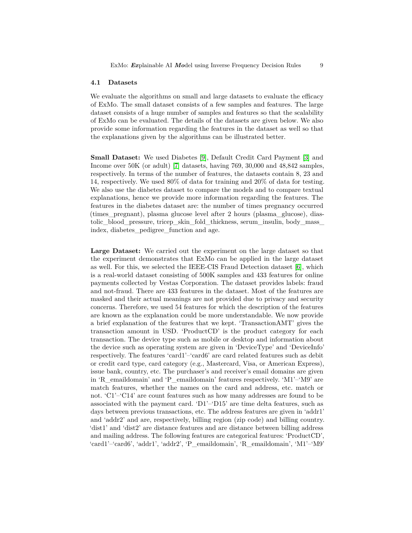#### **4.1 Datasets**

We evaluate the algorithms on small and large datasets to evaluate the efficacy of ExMo. The small dataset consists of a few samples and features. The large dataset consists of a huge number of samples and features so that the scalability of ExMo can be evaluated. The details of the datasets are given below. We also provide some information regarding the features in the dataset as well so that the explanations given by the algorithms can be illustrated better.

**Small Dataset:** We used Diabetes [\[9\]](#page-18-13), Default Credit Card Payment [\[3\]](#page-18-14) and Income over 50K (or adult) [\[7\]](#page-18-15) datasets, having 769, 30,000 and 48,842 samples, respectively. In terms of the number of features, the datasets contain 8, 23 and 14, respectively. We used 80% of data for training and 20% of data for testing. We also use the diabetes dataset to compare the models and to compare textual explanations, hence we provide more information regarding the features. The features in the diabetes dataset are: the number of times pregnancy occurred (times\_pregnant), plasma glucose level after 2 hours (plasma\_glucose), diastolic\_blood\_pressure, tricep\_skin\_fold\_thickness, serum\_insulin, body\_mass\_ index, diabetes\_pedigree\_function and age.

**Large Dataset:** We carried out the experiment on the large dataset so that the experiment demonstrates that ExMo can be applied in the large dataset as well. For this, we selected the IEEE-CIS Fraud Detection dataset [\[6\]](#page-18-16), which is a real-world dataset consisting of 500K samples and 433 features for online payments collected by Vestas Corporation. The dataset provides labels: fraud and not-fraud. There are 433 features in the dataset. Most of the features are masked and their actual meanings are not provided due to privacy and security concerns. Therefore, we used 54 features for which the description of the features are known as the explanation could be more understandable. We now provide a brief explanation of the features that we kept. 'TransactionAMT' gives the transaction amount in USD. 'ProductCD' is the product category for each transaction. The device type such as mobile or desktop and information about the device such as operating system are given in 'DeviceType' and 'DeviceInfo' respectively. The features 'card1'–'card6' are card related features such as debit or credit card type, card category (e.g., Mastercard, Visa, or American Express), issue bank, country, etc. The purchaser's and receiver's email domains are given in 'R\_emaildomain' and 'P\_emaildomain' features respectively. 'M1'–'M9' are match features, whether the names on the card and address, etc. match or not. 'C1'–'C14' are count features such as how many addresses are found to be associated with the payment card. 'D1'–'D15' are time delta features, such as days between previous transactions, etc. The address features are given in 'addr1' and 'addr2' and are, respectively, billing region (zip code) and billing country. 'dist1' and 'dist2' are distance features and are distance between billing address and mailing address. The following features are categorical features: 'ProductCD', 'card1'–'card6', 'addr1', 'addr2', 'P\_emaildomain', 'R\_emaildomain', 'M1'–'M9'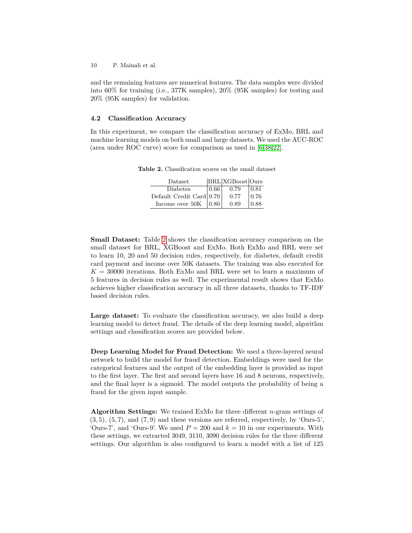and the remaining features are numerical features. The data samples were divided into 60% for training (i.e., 377K samples), 20% (95K samples) for testing and 20% (95K samples) for validation.

### **4.2 Classification Accuracy**

In this experiment, we compare the classification accuracy of ExMo, BRL and machine learning models on both small and large datasets. We used the AUC-ROC (area under ROC curve) score for comparison as used in [\[6](#page-18-16)[,38,](#page-19-14)[22\]](#page-18-4).

**Table 2.** Classification scores on the small dataset

<span id="page-9-0"></span>

| Dataset                  |            | BRL XGBoost Ours |               |
|--------------------------|------------|------------------|---------------|
| Diabetes                 | $\pm 0.66$ | 0.79             | 0.81          |
| Default Credit Card 0.70 |            | 0.77             | $\sqrt{0.76}$ |
| Income over 50K          | 0.80       | 0.89             | 0.88          |

**Small Dataset:** Table [2](#page-9-0) shows the classification accuracy comparison on the small dataset for BRL, XGBoost and ExMo. Both ExMo and BRL were set to learn 10, 20 and 50 decision rules, respectively, for diabetes, default credit card payment and income over 50K datasets. The training was also executed for  $K = 30000$  iterations. Both ExMo and BRL were set to learn a maximum of 5 features in decision rules as well. The experimental result shows that ExMo achieves higher classification accuracy in all three datasets, thanks to TF-IDF based decision rules.

**Large dataset:** To evaluate the classification accuracy, we also build a deep learning model to detect fraud. The details of the deep learning model, algorithm settings and classification scores are provided below.

**Deep Learning Model for Fraud Detection:** We used a three-layered neural network to build the model for fraud detection. Embeddings were used for the categorical features and the output of the embedding layer is provided as input to the first layer. The first and second layers have 16 and 8 neurons, respectively, and the final layer is a sigmoid. The model outputs the probability of being a fraud for the given input sample.

**Algorithm Settings:** We trained ExMo for three different *n*-gram settings of (3*,* 5), (5*,* 7), and (7*,* 9) and these versions are referred, respectively, by 'Ours-5', 'Ours-7', and 'Ours-9'. We used  $P = 200$  and  $k = 10$  in our experiments. With these settings, we extracted 3049, 3110, 3090 decision rules for the three different settings. Our algorithm is also configured to learn a model with a list of 125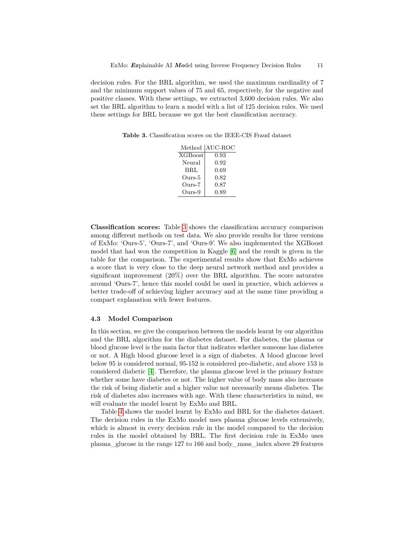decision rules. For the BRL algorithm, we used the maximum cardinality of 7 and the minimum support values of 75 and 65, respectively, for the negative and positive classes. With these settings, we extracted 3,600 decision rules. We also set the BRL algorithm to learn a model with a list of 125 decision rules. We used these settings for BRL because we got the best classification accuracy.

<span id="page-10-0"></span>**Table 3.** Classification scores on the IEEE-CIS Fraud dataset

|          | Method   AUC-ROC |
|----------|------------------|
| XGBoost  | 0.93             |
| Neural   | 0.92             |
| BRL      | 0.69             |
| $Ours-5$ | 0.82             |
| $Ours-7$ | 0.87             |
| $Ours-9$ | 0.89             |

**Classification scores:** Table [3](#page-10-0) shows the classification accuracy comparison among different methods on test data. We also provide results for three versions of ExMo: 'Ours-5', 'Ours-7', and 'Ours-9'. We also implemented the XGBoost model that had won the competition in Kaggle [\[6\]](#page-18-16) and the result is given in the table for the comparison. The experimental results show that ExMo achieves a score that is very close to the deep neural network method and provides a significant improvement (20%) over the BRL algorithm. The score saturates around 'Ours-7', hence this model could be used in practice, which achieves a better trade-off of achieving higher accuracy and at the same time providing a compact explanation with fewer features.

### **4.3 Model Comparison**

In this section, we give the comparison between the models learnt by our algorithm and the BRL algorithm for the diabetes dataset. For diabetes, the plasma or blood glucose level is the main factor that indicates whether someone has diabetes or not. A High blood glucose level is a sign of diabetes. A blood glucose level below 95 is considered normal, 95-152 is considered pre-diabetic, and above 153 is considered diabetic [\[4\]](#page-18-17). Therefore, the plasma glucose level is the primary feature whether some have diabetes or not. The higher value of body mass also increases the risk of being diabetic and a higher value not necessarily means diabetes. The risk of diabetes also increases with age. With these characteristics in mind, we will evaluate the model learnt by ExMo and BRL.

Table [4](#page-11-0) shows the model learnt by ExMo and BRL for the diabetes dataset. The decision rules in the ExMo model uses plasma glucose levels extensively, which is almost in every decision rule in the model compared to the decision rules in the model obtained by BRL. The first decision rule in ExMo uses plasma\_glucose in the range 127 to 166 and body\_mass\_index above 29 features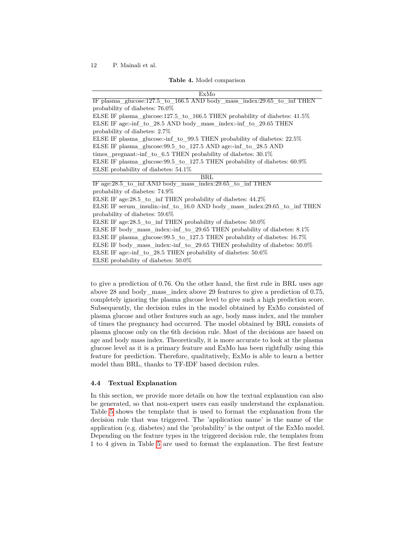<span id="page-11-0"></span>

|  |  | Table 4. Model comparison |
|--|--|---------------------------|
|--|--|---------------------------|

| ExMo                                                                             |
|----------------------------------------------------------------------------------|
| IF plasma_glucose:127.5_to_166.5 AND body_mass_index:29.65_to_inf THEN           |
| probability of diabetes: 76.0%                                                   |
| ELSE IF plasma_glucose:127.5_to_166.5 THEN probability of diabetes: 41.5%        |
| ELSE IF age:-inf_to_28.5 AND body_mass_index:-inf_to_29.65 THEN                  |
| probability of diabetes: 2.7%                                                    |
| ELSE IF plasma_glucose:-inf_to_99.5 THEN probability of diabetes: 22.5%          |
| ELSE IF plasma_glucose:99.5_to_127.5 AND age:-inf_to_28.5 AND                    |
| times_pregnant:-inf_to_6.5 THEN probability of diabetes: 30.1%                   |
| ELSE IF plasma_glucose: $99.5\_$ to 127.5 THEN probability of diabetes: $60.9\%$ |
| ELSE probability of diabetes: $54.1\%$                                           |
| $_{\rm BRL}$                                                                     |
| IF age:28.5 to inf AND body mass index:29.65 to inf THEN                         |
| probability of diabetes: 74.9%                                                   |
| ELSE IF age:28.5_to_inf THEN probability of diabetes: 44.2%                      |
| ELSE IF serum_insulin:-inf_to_16.0 AND body_mass_index:29.65_to_inf THEN         |
| probability of diabetes: 59.6%                                                   |
| ELSE IF age:28.5 to inf THEN probability of diabetes: 50.0%                      |
| ELSE IF body mass index:-inf to 29.65 THEN probability of diabetes: $8.1\%$      |
| ELSE IF plasma_glucose:99.5_to_127.5 THEN probability of diabetes: $16.7\%$      |
| ELSE IF body mass index:-inf to 29.65 THEN probability of diabetes: $50.0\%$     |
| ELSE IF age:-inf_to_28.5 THEN probability of diabetes: 50.6%                     |
| ELSE probability of diabetes: 50.0%                                              |

to give a prediction of 0.76. On the other hand, the first rule in BRL uses age above 28 and body\_mass\_index above 29 features to give a prediction of 0.75, completely ignoring the plasma glucose level to give such a high prediction score. Subsequently, the decision rules in the model obtained by ExMo consisted of plasma glucose and other features such as age, body mass index, and the number of times the pregnancy had occurred. The model obtained by BRL consists of plasma glucose only on the 6th decision rule. Most of the decisions are based on age and body mass index. Theoretically, it is more accurate to look at the plasma glucose level as it is a primary feature and ExMo has been rightfully using this feature for prediction. Therefore, qualitatively, ExMo is able to learn a better model than BRL, thanks to TF-IDF based decision rules.

### <span id="page-11-1"></span>**4.4 Textual Explanation**

In this section, we provide more details on how the textual explanation can also be generated, so that non-expert users can easily understand the explanation. Table [5](#page-12-0) shows the template that is used to format the explanation from the decision rule that was triggered. The 'application name' is the name of the application (e.g. diabetes) and the 'probability' is the output of the ExMo model. Depending on the feature types in the triggered decision rule, the templates from 1 to 4 given in Table [5](#page-12-0) are used to format the explanation. The first feature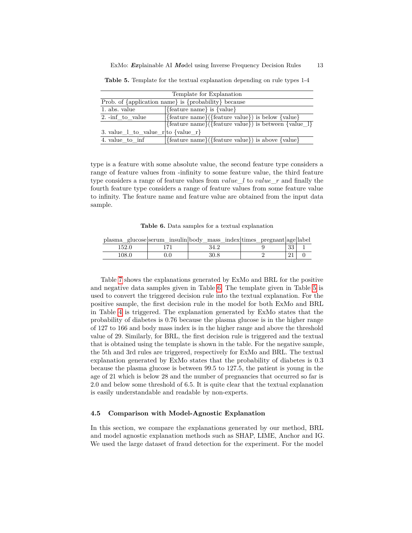| Template for Explanation                             |                                                                                      |  |  |
|------------------------------------------------------|--------------------------------------------------------------------------------------|--|--|
| Prob. of {application name} is {probability} because |                                                                                      |  |  |
| 1. abs. value                                        | $\{\text{feature name}\}\$ is $\{\text{value}\}\$                                    |  |  |
| 2. -inf to value                                     | $ \{\text{feature name}\}(\{\text{feature value}\})\ $ is below $\{\text{value}\}\$  |  |  |
|                                                      | $\{\text{feature name}\}(\{\text{feature value}\})$ is between $\{\text{value}\_!\}$ |  |  |
| 3. value_1_to_value_r to {value_r}                   |                                                                                      |  |  |
| 4. value to inf                                      | {\fracture name} ({\fracture value}) is above {\value}                               |  |  |

<span id="page-12-0"></span>**Table 5.** Template for the textual explanation depending on rule types 1-4

type is a feature with some absolute value, the second feature type considers a range of feature values from -infinity to some feature value, the third feature type considers a range of feature values from *value*\_*l* to *value*\_*r* and finally the fourth feature type considers a range of feature values from some feature value to infinity. The feature name and feature value are obtained from the input data sample.

<span id="page-12-1"></span>**Table 6.** Data samples for a textual explanation

|       | plasma glucose serum insulin body mass index times pregnant age label |    |  |
|-------|-----------------------------------------------------------------------|----|--|
| 152.0 |                                                                       | 33 |  |
| 108.0 | 30.8                                                                  |    |  |

Table [7](#page-13-0) shows the explanations generated by ExMo and BRL for the positive and negative data samples given in Table [6.](#page-12-1) The template given in Table [5](#page-12-0) is used to convert the triggered decision rule into the textual explanation. For the positive sample, the first decision rule in the model for both ExMo and BRL in Table [4](#page-11-0) is triggered. The explanation generated by ExMo states that the probability of diabetes is 0*.*76 because the plasma glucose is in the higher range of 127 to 166 and body mass index is in the higher range and above the threshold value of 29. Similarly, for BRL, the first decision rule is triggered and the textual that is obtained using the template is shown in the table. For the negative sample, the 5th and 3rd rules are triggered, respectively for ExMo and BRL. The textual explanation generated by ExMo states that the probability of diabetes is 0*.*3 because the plasma glucose is between 99.5 to 127.5, the patient is young in the age of 21 which is below 28 and the number of pregnancies that occurred so far is 2.0 and below some threshold of 6.5. It is quite clear that the textual explanation is easily understandable and readable by non-experts.

# **4.5 Comparison with Model-Agnostic Explanation**

In this section, we compare the explanations generated by our method, BRL and model agnostic explanation methods such as SHAP, LIME, Anchor and IG. We used the large dataset of fraud detection for the experiment. For the model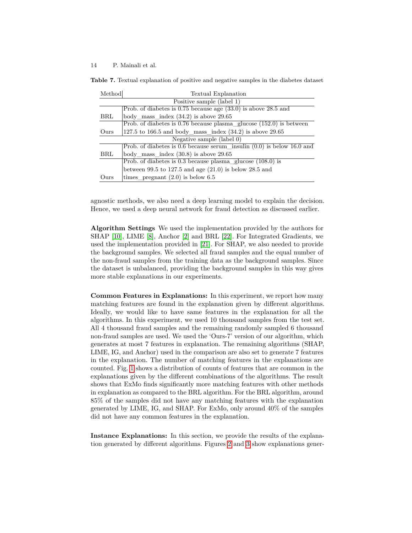<span id="page-13-0"></span>Method Textual Explanation Positive sample (label 1) BRL Prob. of diabetes is 0.75 because age (33.0) is above 28.5 and body mass index  $(34.2)$  is above 29.65 Ours Prob. of diabetes is 0.76 because plasma\_glucose (152.0) is between 127.5 to 166.5 and body\_mass\_index (34.2) is above 29.65 Negative sample (label 0) BRL Prob. of diabetes is 0.6 because serum insulin  $(0.0)$  is below 16.0 and body\_mass\_index (30.8) is above 29.65 Ours Prob. of diabetes is 0.3 because plasma\_glucose (108.0) is between 99.5 to 127.5 and age (21.0) is below 28.5 and times\_pregnant  $(2.0)$  is below 6.5

**Table 7.** Textual explanation of positive and negative samples in the diabetes dataset

agnostic methods, we also need a deep learning model to explain the decision. Hence, we used a deep neural network for fraud detection as discussed earlier.

**Algorithm Settings** We used the implementation provided by the authors for SHAP [\[10\]](#page-18-18), LIME [\[8\]](#page-18-19), Anchor [\[2\]](#page-18-20) and BRL [\[22\]](#page-18-4). For Integrated Gradients, we used the implementation provided in [\[21\]](#page-18-21). For SHAP, we also needed to provide the background samples. We selected all fraud samples and the equal number of the non-fraud samples from the training data as the background samples. Since the dataset is unbalanced, providing the background samples in this way gives more stable explanations in our experiments.

**Common Features in Explanations:** In this experiment, we report how many matching features are found in the explanation given by different algorithms. Ideally, we would like to have same features in the explanation for all the algorithms. In this experiment, we used 10 thousand samples from the test set. All 4 thousand fraud samples and the remaining randomly sampled 6 thousand non-fraud samples are used. We used the 'Ours-7' version of our algorithm, which generates at most 7 features in explanation. The remaining algorithms (SHAP, LIME, IG, and Anchor) used in the comparison are also set to generate 7 features in the explanation. The number of matching features in the explanations are counted. Fig. [1](#page-14-0) shows a distribution of counts of features that are common in the explanations given by the different combinations of the algorithms. The result shows that ExMo finds significantly more matching features with other methods in explanation as compared to the BRL algorithm. For the BRL algorithm, around 85% of the samples did not have any matching features with the explanation generated by LIME, IG, and SHAP. For ExMo, only around 40% of the samples did not have any common features in the explanation.

**Instance Explanations:** In this section, we provide the results of the explanation generated by different algorithms. Figures [2](#page-15-0) and [3](#page-16-0) show explanations gener-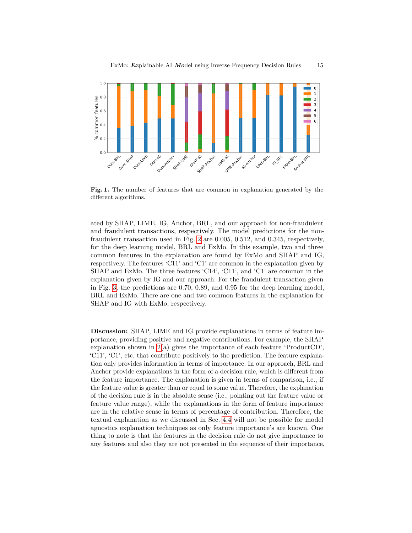

<span id="page-14-0"></span>**Fig. 1.** The number of features that are common in explanation generated by the different algorithms.

ated by SHAP, LIME, IG, Anchor, BRL, and our approach for non-fraudulent and fraudulent transactions, respectively. The model predictions for the nonfraudulent transaction used in Fig. [2](#page-15-0) are 0.005, 0.512, and 0.345, respectively, for the deep learning model, BRL and ExMo. In this example, two and three common features in the explanation are found by ExMo and SHAP and IG, respectively. The features 'C11' and 'C1' are common in the explanation given by SHAP and ExMo. The three features 'C14', 'C11', and 'C1' are common in the explanation given by IG and our approach. For the fraudulent transaction given in Fig. [3,](#page-16-0) the predictions are 0.70, 0.89, and 0.95 for the deep learning model, BRL and ExMo. There are one and two common features in the explanation for SHAP and IG with ExMo, respectively.

**Discussion:** SHAP, LIME and IG provide explanations in terms of feature importance, providing positive and negative contributions. For example, the SHAP explanation shown in  $2(a)$  gives the importance of each feature 'ProductCD', 'C11', 'C1', etc. that contribute positively to the prediction. The feature explanation only provides information in terms of importance. In our approach, BRL and Anchor provide explanations in the form of a decision rule, which is different from the feature importance. The explanation is given in terms of comparison, i.e., if the feature value is greater than or equal to some value. Therefore, the explanation of the decision rule is in the absolute sense (i.e., pointing out the feature value or feature value range), while the explanations in the form of feature importance are in the relative sense in terms of percentage of contribution. Therefore, the textual explanation as we discussed in Sec. [4.4](#page-11-1) will not be possible for model agnostics explanation techniques as only feature importance's are known. One thing to note is that the features in the decision rule do not give importance to any features and also they are not presented in the sequence of their importance.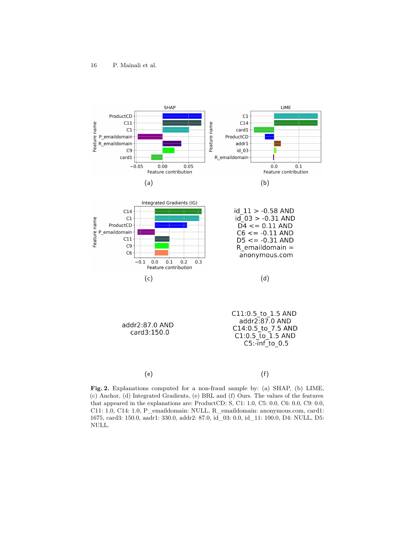

<span id="page-15-0"></span>**Fig. 2.** Explanations computed for a non-fraud sample by: (a) SHAP, (b) LIME, (c) Anchor, (d) Integrated Gradients, (e) BRL and (f) Ours. The values of the features that appeared in the explanations are: ProductCD: S, C1: 1.0, C5: 0.0, C6: 0.0, C9: 0.0, C11: 1.0, C14: 1.0, P\_emaildomain: NULL, R\_emaildomain: anonymous.com, card1: 1675, card3: 150.0, aadr1: 330.0, addr2: 87.0, id\_03: 0.0, id\_11: 100.0, D4: NULL, D5: NULL.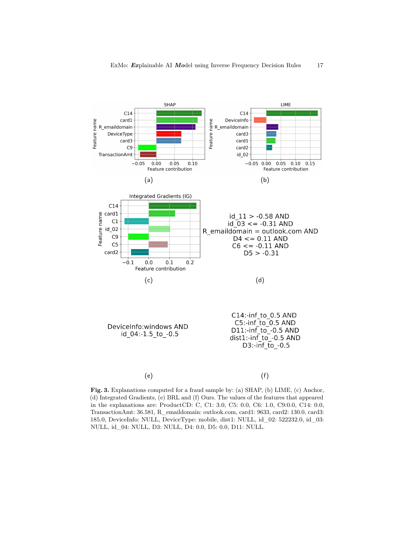

 $(e)$  (f)

<span id="page-16-0"></span>**Fig. 3.** Explanations computed for a fraud sample by: (a) SHAP, (b) LIME, (c) Anchor, (d) Integrated Gradients, (e) BRL and (f) Ours. The values of the features that appeared in the explanations are: ProductCD: C, C1: 3.0, C5: 0.0, C6: 1.0, C9:0.0, C14: 0.0, TransactionAmt: 36.581, R\_emaildomain: outlook.com, card1: 9633, card2: 130.0, card3: 185.0, DeviceInfo: NULL, DeviceType: mobile, dist1: NULL, id\_02: 522232.0, id\_03: NULL, id\_04: NULL, D3: NULL, D4: 0.0, D5: 0.0, D11: NULL.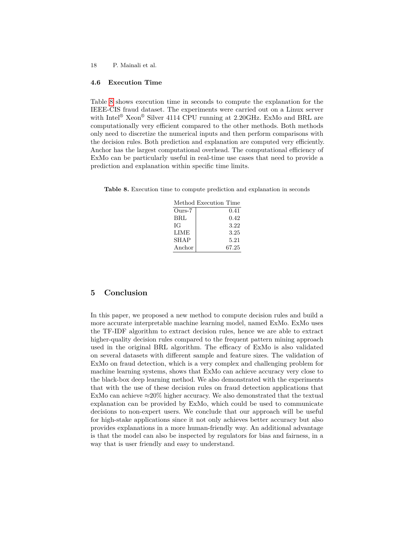### **4.6 Execution Time**

Table [8](#page-17-0) shows execution time in seconds to compute the explanation for the IEEE-CIS fraud dataset. The experiments were carried out on a Linux server with Intel<sup>®</sup> Xeon<sup>®</sup> Silver 4114 CPU running at 2.20GHz. ExMo and BRL are computationally very efficient compared to the other methods. Both methods only need to discretize the numerical inputs and then perform comparisons with the decision rules. Both prediction and explanation are computed very efficiently. Anchor has the largest computational overhead. The computational efficiency of ExMo can be particularly useful in real-time use cases that need to provide a prediction and explanation within specific time limits.

<span id="page-17-0"></span>**Table 8.** Execution time to compute prediction and explanation in seconds

| Method Execution Time |       |  |  |  |
|-----------------------|-------|--|--|--|
| Ours-7                | 0.41  |  |  |  |
| $_{\rm BRL}$          | 0.42  |  |  |  |
| ЮG                    | 3.22  |  |  |  |
| LIME                  | 3.25  |  |  |  |
| <b>SHAP</b>           | 5.21  |  |  |  |
| Anchor                | 67.25 |  |  |  |

# **5 Conclusion**

In this paper, we proposed a new method to compute decision rules and build a more accurate interpretable machine learning model, named ExMo. ExMo uses the TF-IDF algorithm to extract decision rules, hence we are able to extract higher-quality decision rules compared to the frequent pattern mining approach used in the original BRL algorithm. The efficacy of ExMo is also validated on several datasets with different sample and feature sizes. The validation of ExMo on fraud detection, which is a very complex and challenging problem for machine learning systems, shows that ExMo can achieve accuracy very close to the black-box deep learning method. We also demonstrated with the experiments that with the use of these decision rules on fraud detection applications that ExMo can achieve  $\approx 20\%$  higher accuracy. We also demonstrated that the textual explanation can be provided by ExMo, which could be used to communicate decisions to non-expert users. We conclude that our approach will be useful for high-stake applications since it not only achieves better accuracy but also provides explanations in a more human-friendly way. An additional advantage is that the model can also be inspected by regulators for bias and fairness, in a way that is user friendly and easy to understand.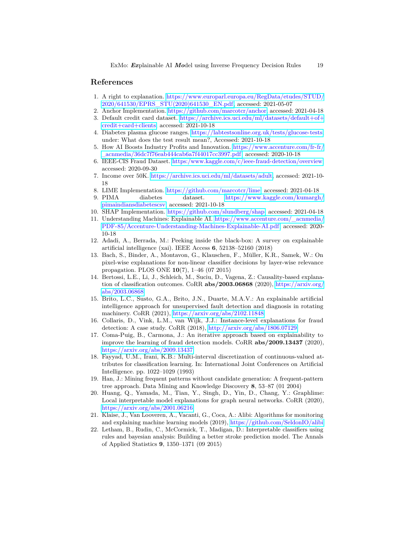# **References**

- <span id="page-18-2"></span>1. A right to explanation. [https://www.europarl.europa.eu/RegData/etudes/STUD/](https://www.europarl.europa.eu/RegData/etudes/STUD/2020/641530/EPRS_STU(2020)641530_EN.pdf) [2020/641530/EPRS\\_STU\(2020\)641530\\_EN.pdf,](https://www.europarl.europa.eu/RegData/etudes/STUD/2020/641530/EPRS_STU(2020)641530_EN.pdf) accessed: 2021-05-07
- <span id="page-18-20"></span>2. Anchor Implementation. [https://github.com/marcotcr/anchor,](https://github.com/marcotcr/anchor) accessed: 2021-04-18
- <span id="page-18-14"></span>3. Default credit card dataset. [https://archive.ics.uci.edu/ml/datasets/default+of+](https://archive.ics.uci.edu/ml/datasets/default+of+credit+card+clients) [credit+card+clients,](https://archive.ics.uci.edu/ml/datasets/default+of+credit+card+clients) accessed: 2021-10-18
- <span id="page-18-17"></span>4. Diabetes plasma glucose ranges. [https://labtestsonline.org.uk/tests/glucose-tests,](https://labtestsonline.org.uk/tests/glucose-tests) under: What does the test result mean?, Accessed: 2021-10-18
- <span id="page-18-0"></span>5. How AI Boosts Industry Profits and Innovation. [https://www.accenture.com/fr-fr/](https://www.accenture.com/fr-fr/_acnmedia/36dc7f76eab444cab6a7f44017cc3997.pdf) [\\_acnmedia/36dc7f76eab444cab6a7f44017cc3997.pdf,](https://www.accenture.com/fr-fr/_acnmedia/36dc7f76eab444cab6a7f44017cc3997.pdf) accessed: 2020-10-18
- <span id="page-18-16"></span>6. IEEE-CIS Fraud Dataset. [https:/www.kaggle.com/c/ieee-fraud-detection/overview,](https:/www.kaggle.com/c/ieee-fraud-detection/overview) accessed: 2020-09-30
- <span id="page-18-15"></span>7. Income over 50K. [https://archive.ics.uci.edu/ml/datasets/adult,](https://archive.ics.uci.edu/ml/datasets/adult) accessed: 2021-10- 18
- <span id="page-18-19"></span>8. LIME Implementation. [https://github.com/marcotcr/lime,](https://github.com/marcotcr/lime) accessed: 2021-04-18
- <span id="page-18-13"></span>9. PIMA diabetes dataset. [https://www.kaggle.com/kumargh/](https://www.kaggle.com/kumargh/pimaindiansdiabetescsv) [pimaindiansdiabetescsv,](https://www.kaggle.com/kumargh/pimaindiansdiabetescsv) accessed: 2021-10-18
- <span id="page-18-18"></span>10. SHAP Implementation. [https://github.com/slundberg/shap,](https://github.com/slundberg/shap) accessed: 2021-04-18
- <span id="page-18-1"></span>11. Understanding Machines: Explainable AI. [https://www.accenture.com/\\_acnmedia/](https://www.accenture.com/_acnmedia/PDF-85/Accenture-Understanding-Machines-Explainable-AI.pdf) [PDF-85/Accenture-Understanding-Machines-Explainable-AI.pdf,](https://www.accenture.com/_acnmedia/PDF-85/Accenture-Understanding-Machines-Explainable-AI.pdf) accessed: 2020- 10-18
- <span id="page-18-3"></span>12. Adadi, A., Berrada, M.: Peeking inside the black-box: A survey on explainable artificial intelligence (xai). IEEE Access **6**, 52138–52160 (2018)
- <span id="page-18-11"></span>13. Bach, S., Binder, A., Montavon, G., Klauschen, F., Müller, K.R., Samek, W.: On pixel-wise explanations for non-linear classifier decisions by layer-wise relevance propagation. PLOS ONE **10**(7), 1–46 (07 2015)
- <span id="page-18-10"></span>14. Bertossi, L.E., Li, J., Schleich, M., Suciu, D., Vagena, Z.: Causality-based explanation of classification outcomes. CoRR **abs/2003.06868** (2020), [https://arxiv.org/](https://arxiv.org/abs/2003.06868) [abs/2003.06868](https://arxiv.org/abs/2003.06868)
- <span id="page-18-8"></span>15. Brito, L.C., Susto, G.A., Brito, J.N., Duarte, M.A.V.: An explainable artificial intelligence approach for unsupervised fault detection and diagnosis in rotating machinery. CoRR (2021), <https://arxiv.org/abs/2102.11848>
- <span id="page-18-6"></span>16. Collaris, D., Vink, L.M., van Wijk, J.J.: Instance-level explanations for fraud detection: A case study. CoRR (2018), <http://arxiv.org/abs/1806.07129>
- <span id="page-18-7"></span>17. Coma-Puig, B., Carmona, J.: An iterative approach based on explainability to improve the learning of fraud detection models. CoRR **abs/2009.13437** (2020), <https://arxiv.org/abs/2009.13437>
- <span id="page-18-12"></span>18. Fayyad, U.M., Irani, K.B.: Multi-interval discretization of continuous-valued attributes for classification learning. In: International Joint Conferences on Artificial Intelligence. pp. 1022–1029 (1993)
- <span id="page-18-5"></span>19. Han, J.: Mining frequent patterns without candidate generation: A frequent-pattern tree approach. Data Mining and Knowledge Discovery **8**, 53–87 (01 2004)
- <span id="page-18-9"></span>20. Huang, Q., Yamada, M., Tian, Y., Singh, D., Yin, D., Chang, Y.: Graphlime: Local interpretable model explanations for graph neural networks. CoRR (2020), <https://arxiv.org/abs/2001.06216>
- <span id="page-18-21"></span>21. Klaise, J., Van Looveren, A., Vacanti, G., Coca, A.: Alibi: Algorithms for monitoring and explaining machine learning models (2019), <https://github.com/SeldonIO/alibi>
- <span id="page-18-4"></span>22. Letham, B., Rudin, C., McCormick, T., Madigan, D.: Interpretable classifiers using rules and bayesian analysis: Building a better stroke prediction model. The Annals of Applied Statistics **9**, 1350–1371 (09 2015)